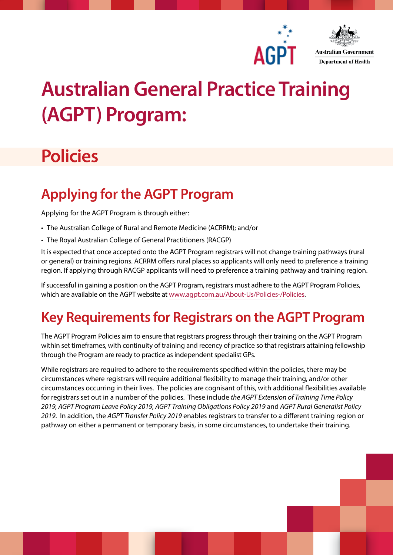



# **Australian General Practice Training (AGPT) Program:**

## **Policies**

### **Applying for the AGPT Program**

Applying for the AGPT Program is through either:

- The Australian College of Rural and Remote Medicine (ACRRM); and/or
- The Royal Australian College of General Practitioners (RACGP)

It is expected that once accepted onto the AGPT Program registrars will not change training pathways (rural or general) or training regions. ACRRM offers rural places so applicants will only need to preference a training region. If applying through RACGP applicants will need to preference a training pathway and training region.

If successful in gaining a position on the AGPT Program, registrars must adhere to the AGPT Program Policies, which are available on the AGPT website at [www.agpt.com.au/About-Us/Policies-/Policies](http://www.agpt.com.au/About-Us/Policies-/Policies).

### **Key Requirements for Registrars on the AGPT Program**

The AGPT Program Policies aim to ensure that registrars progress through their training on the AGPT Program within set timeframes, with continuity of training and recency of practice so that registrars attaining fellowship through the Program are ready to practice as independent specialist GPs.

While registrars are required to adhere to the requirements specified within the policies, there may be circumstances where registrars will require additional flexibility to manage their training, and/or other circumstances occurring in their lives. The policies are cognisant of this, with additional flexibilities available for registrars set out in a number of the policies. These include *the AGPT Extension of Training Time Policy 2019, AGPT Program Leave Policy 2019, AGPT Training Obligations Policy 2019* and *AGPT Rural Generalist Policy 2019*. In addition, the *AGPT Transfer Policy 2019* enables registrars to transfer to a different training region or pathway on either a permanent or temporary basis, in some circumstances, to undertake their training.